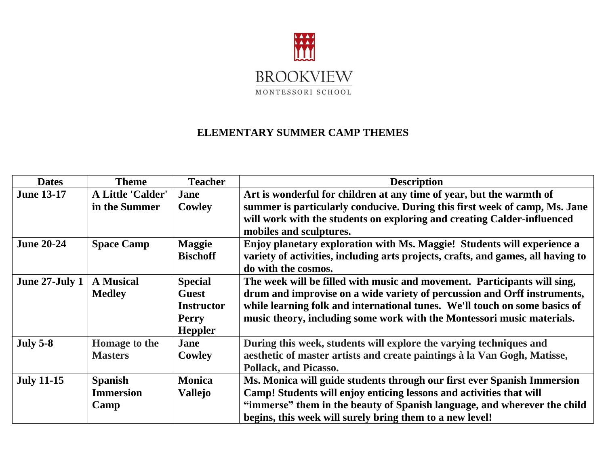

## **ELEMENTARY SUMMER CAMP THEMES**

| <b>Dates</b>      | <b>Theme</b>             | <b>Teacher</b>    | <b>Description</b>                                                               |
|-------------------|--------------------------|-------------------|----------------------------------------------------------------------------------|
| <b>June 13-17</b> | <b>A Little 'Calder'</b> | Jane              | Art is wonderful for children at any time of year, but the warmth of             |
|                   | in the Summer            | <b>Cowley</b>     | summer is particularly conducive. During this first week of camp, Ms. Jane       |
|                   |                          |                   | will work with the students on exploring and creating Calder-influenced          |
|                   |                          |                   | mobiles and sculptures.                                                          |
| <b>June 20-24</b> | <b>Space Camp</b>        | <b>Maggie</b>     | Enjoy planetary exploration with Ms. Maggie! Students will experience a          |
|                   |                          | <b>Bischoff</b>   | variety of activities, including arts projects, crafts, and games, all having to |
|                   |                          |                   | do with the cosmos.                                                              |
| June 27-July 1    | <b>A Musical</b>         | <b>Special</b>    | The week will be filled with music and movement. Participants will sing,         |
|                   | <b>Medley</b>            | <b>Guest</b>      | drum and improvise on a wide variety of percussion and Orff instruments,         |
|                   |                          | <b>Instructor</b> | while learning folk and international tunes. We'll touch on some basics of       |
|                   |                          | <b>Perry</b>      | music theory, including some work with the Montessori music materials.           |
|                   |                          | <b>Heppler</b>    |                                                                                  |
| <b>July 5-8</b>   | Homage to the            | <b>Jane</b>       | During this week, students will explore the varying techniques and               |
|                   | <b>Masters</b>           | <b>Cowley</b>     | aesthetic of master artists and create paintings à la Van Gogh, Matisse,         |
|                   |                          |                   | <b>Pollack, and Picasso.</b>                                                     |
| <b>July 11-15</b> | <b>Spanish</b>           | <b>Monica</b>     | Ms. Monica will guide students through our first ever Spanish Immersion          |
|                   | <b>Immersion</b>         | <b>Vallejo</b>    | Camp! Students will enjoy enticing lessons and activities that will              |
|                   | Camp                     |                   | "immerse" them in the beauty of Spanish language, and wherever the child         |
|                   |                          |                   | begins, this week will surely bring them to a new level!                         |